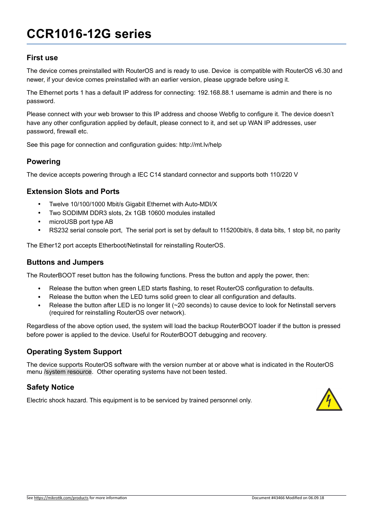# **CCR1016-12G series**

#### **First use**

The device comes preinstalled with RouterOS and is ready to use. Device is compatible with RouterOS v6.30 and newer, if your device comes preinstalled with an earlier version, please upgrade before using it.

The Ethernet ports 1 has a default IP address for connecting: 192.168.88.1 username is admin and there is no password.

Please connect with your web browser to this IP address and choose Webfig to configure it. The device doesn't have any other configuration applied by default, please connect to it, and set up WAN IP addresses, user password, firewall etc.

See this page for connection and configuration guides: http://mt.lv/help

#### **Powering**

The device accepts powering through a IEC C14 standard connector and supports both 110/220 V

#### **Extension Slots and Ports**

- Twelve 10/100/1000 Mbit/s Gigabit Ethernet with Auto-MDI/X
- Two SODIMM DDR3 slots, 2x 1GB 10600 modules installed
- microUSB port type AB
- RS232 serial console port, The serial port is set by default to 115200bit/s, 8 data bits, 1 stop bit, no parity

The Ether12 port accepts Etherboot/Netinstall for reinstalling RouterOS.

#### **Buttons and Jumpers**

The RouterBOOT reset button has the following functions. Press the button and apply the power, then:

- Release the button when green LED starts flashing, to reset RouterOS configuration to defaults.
- Release the button when the LED turns solid green to clear all configuration and defaults.
- Release the button after LED is no longer lit (~20 seconds) to cause device to look for Netinstall servers (required for reinstalling RouterOS over network).

Regardless of the above option used, the system will load the backup RouterBOOT loader if the button is pressed before power is applied to the device. Useful for RouterBOOT debugging and recovery.

#### **Operating System Support**

The device supports RouterOS software with the version number at or above what is indicated in the RouterOS menu /system resource. Other operating systems have not been tested.

#### **Safety Notice**

Electric shock hazard. This equipment is to be serviced by trained personnel only.